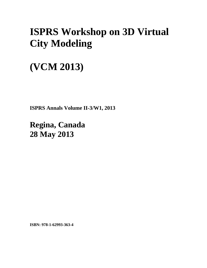## **ISPRS Workshop on 3D Virtual City Modeling**

## **(VCM 2013)**

**ISPRS Annals Volume II-3/W1, 2013** 

**Regina, Canada 28 May 2013**

**ISBN: 978-1-62993-363-4**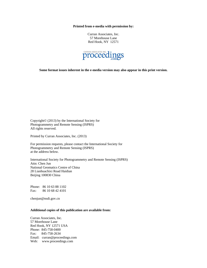**Printed from e-media with permission by:** 

Curran Associates, Inc. 57 Morehouse Lane Red Hook, NY 12571



**Some format issues inherent in the e-media version may also appear in this print version.** 

Copyright© (2013) by the International Society for Photogrammetry and Remote Sensing (ISPRS) All rights reserved.

Printed by Curran Associates, Inc. (2013)

For permission requests, please contact the International Society for Photogrammetry and Remote Sensing (ISPRS) at the address below.

International Society for Photogrammetry and Remote Sensing (ISPRS) Attn: Chen Jun National Geomatics Centre of China 28 Lianhuachixi Road Haidian Beijing 100830 China

Phone: 86 10 63 88 1102 Fax: 86 10 68 42 4101

chenjun@nsdi.gov.cn

## **Additional copies of this publication are available from:**

Curran Associates, Inc. 57 Morehouse Lane Red Hook, NY 12571 USA Phone: 845-758-0400 Fax: 845-758-2634 Email: curran@proceedings.com Web: www.proceedings.com